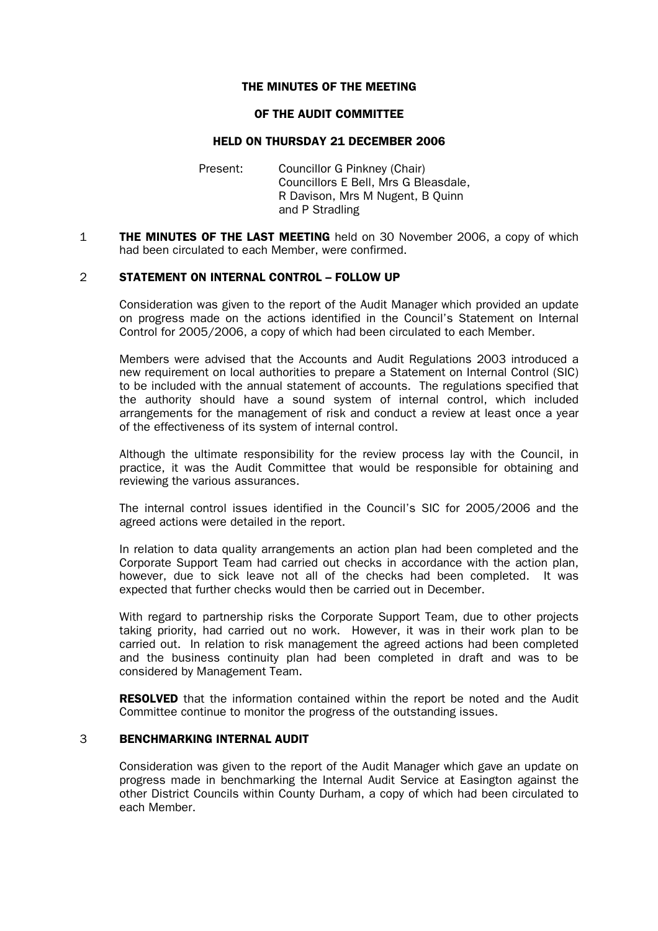# THE MINUTES OF THE MEETING

### OF THE AUDIT COMMITTEE

# HELD ON THURSDAY 21 DECEMBER 2006

- Present: Councillor G Pinkney (Chair) Councillors E Bell, Mrs G Bleasdale, R Davison, Mrs M Nugent, B Quinn and P Stradling
- **1 THE MINUTES OF THE LAST MEETING** held on 30 November 2006, a copy of which had been circulated to each Member, were confirmed.

# 2 STATEMENT ON INTERNAL CONTROL – FOLLOW UP

 Consideration was given to the report of the Audit Manager which provided an update on progress made on the actions identified in the Council's Statement on Internal Control for 2005/2006, a copy of which had been circulated to each Member.

 Members were advised that the Accounts and Audit Regulations 2003 introduced a new requirement on local authorities to prepare a Statement on Internal Control (SIC) to be included with the annual statement of accounts. The regulations specified that the authority should have a sound system of internal control, which included arrangements for the management of risk and conduct a review at least once a year of the effectiveness of its system of internal control.

 Although the ultimate responsibility for the review process lay with the Council, in practice, it was the Audit Committee that would be responsible for obtaining and reviewing the various assurances.

 The internal control issues identified in the Council's SIC for 2005/2006 and the agreed actions were detailed in the report.

 In relation to data quality arrangements an action plan had been completed and the Corporate Support Team had carried out checks in accordance with the action plan, however, due to sick leave not all of the checks had been completed. It was expected that further checks would then be carried out in December.

 With regard to partnership risks the Corporate Support Team, due to other projects taking priority, had carried out no work. However, it was in their work plan to be carried out. In relation to risk management the agreed actions had been completed and the business continuity plan had been completed in draft and was to be considered by Management Team.

**RESOLVED** that the information contained within the report be noted and the Audit Committee continue to monitor the progress of the outstanding issues.

# 3 BENCHMARKING INTERNAL AUDIT

 Consideration was given to the report of the Audit Manager which gave an update on progress made in benchmarking the Internal Audit Service at Easington against the other District Councils within County Durham, a copy of which had been circulated to each Member.